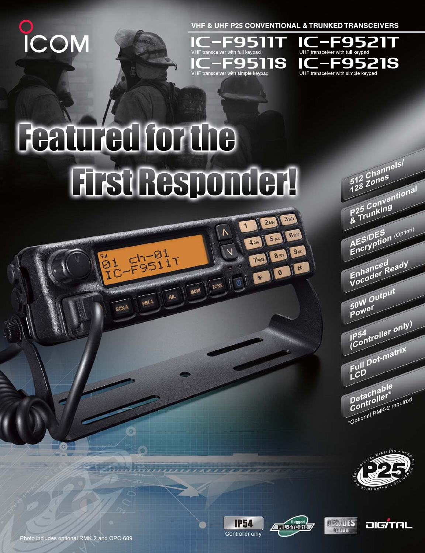**D**<br>ICOM

**VHF & UHF P25 CONVENTIONAL & TRUNKED TRANSCEIVERS** 

**3DEF** 

**6 MNO** 

 $9<sub>w</sub>$ 

井

 $2ABC$ 

\* 10

**TPORS** 

**8** TUN

 $\mathbf{1}$ 

 $\sqrt{6}$ 

ZONE

**MONI** 

HIL





## **Featured for the Fist Responder 1**

**配带时** 

**SCNA** 

**PRIA** 

AES/DES (Option) Enhanced<br>Vocoder Ready 50W Output Power Controller only) Full Dot-matrix LCD Detachable Controller \*Optional RMK-2 required

512 Channels/

P25 Conventional











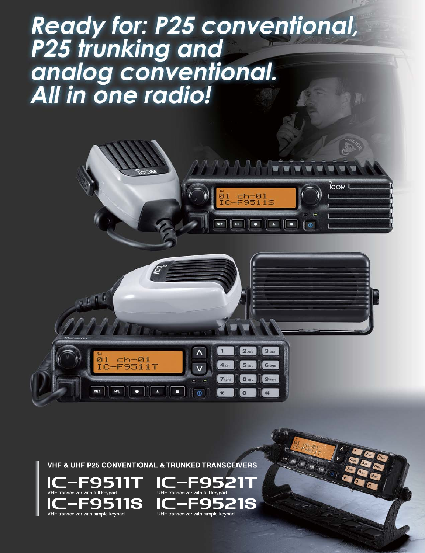# **Ready for: P25 conventional,<br>P25 trunking and** analog conventional.<br>All in one radio!



E95211

UHF transceiver with simple keypad

**VHF & UHF P25 CONVENTIONAL & TRUNKED TRANSCEIVERS** 

VHF transceiver with simple keypad